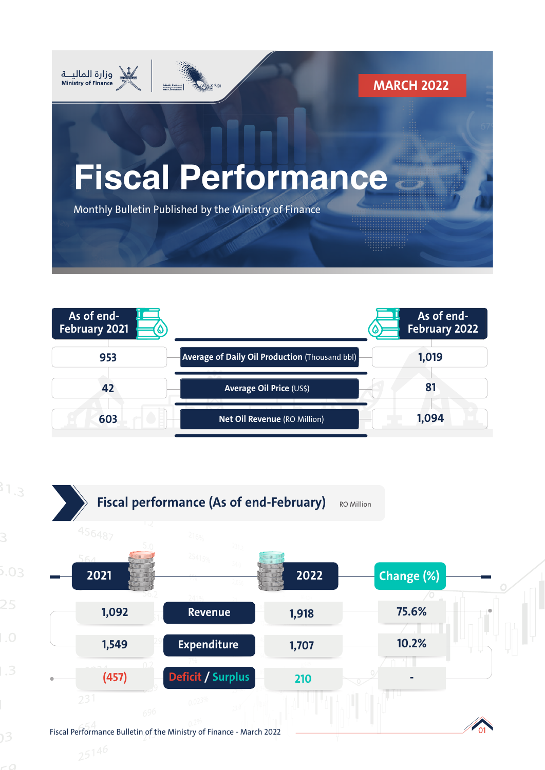



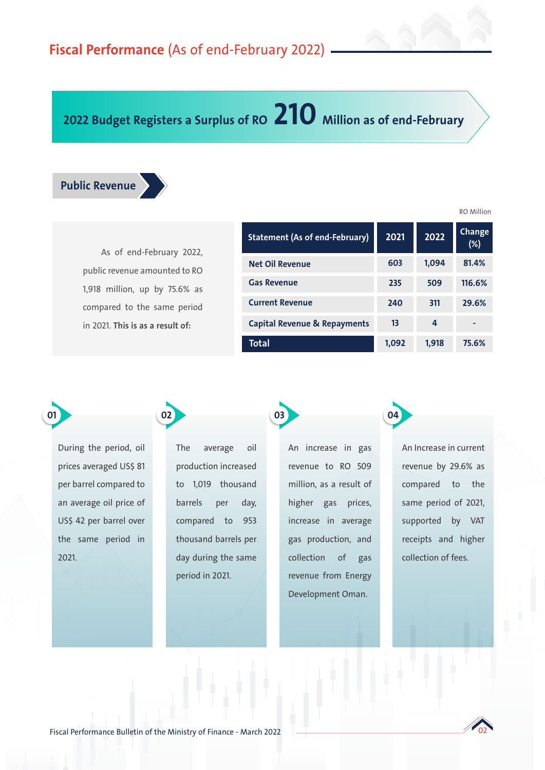# **2022 Budget Registers a Surplus of RO 210 Million as of end-February**



As of end-February 2022, public revenue amounted to RO 1,918 million, up by 75.6% as compared to the same period in 2021. **This is as a result of:** 

**02**

| <b>Statement (As of end-February)</b>   | 2021  | 2022  | Change<br>$(\%)$ |
|-----------------------------------------|-------|-------|------------------|
| <b>Net Oil Revenue</b>                  | 603   | 1,094 | 81.4%            |
| <b>Gas Revenue</b>                      | 235   | 509   | 116.6%           |
| <b>Current Revenue</b>                  | 240   | 311   | 29.6%            |
| <b>Capital Revenue &amp; Repayments</b> | 13    | 4     |                  |
| Total                                   | 1,092 | 1,918 | 75.6%            |

**04**

During the period, oil prices averaged US\$ 81 per barrel compared to an average oil price of US\$ 42 per barrel over the same period in

2021.

**01**

The average oil production increased to 1,019 thousand barrels per day, compared to 953 thousand barrels per day during the same period in 2021.

An increase in gas revenue to RO 509 million, as a result of higher gas prices, increase in average gas production, and collection of gas revenue from Energy Development Oman.

**03**

An Increase in current revenue by 29.6% as compared to the same period of 2021, supported by VAT receipts and higher collection of fees.



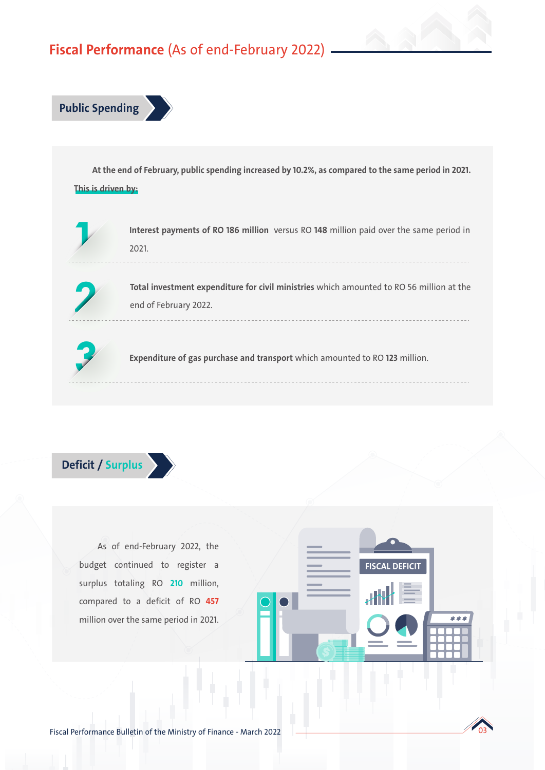# **Fiscal Performance** (As of end-February 2022)



**At the end of February, public spending increased by 10.2%, as compared to the same period in 2021. This is driven by:** 



**Interest payments of RO 186 million** versus RO **148** million paid over the same period in 2021.



**Total investment expenditure for civil ministries** which amounted to RO 56 million at the end of February 2022.



**Expenditure of gas purchase and transport** which amounted to RO **123** million.



As of end-February 2022, the budget continued to register a surplus totaling RO **210** million, compared to a deficit of RO **457**  million over the same period in 2021.

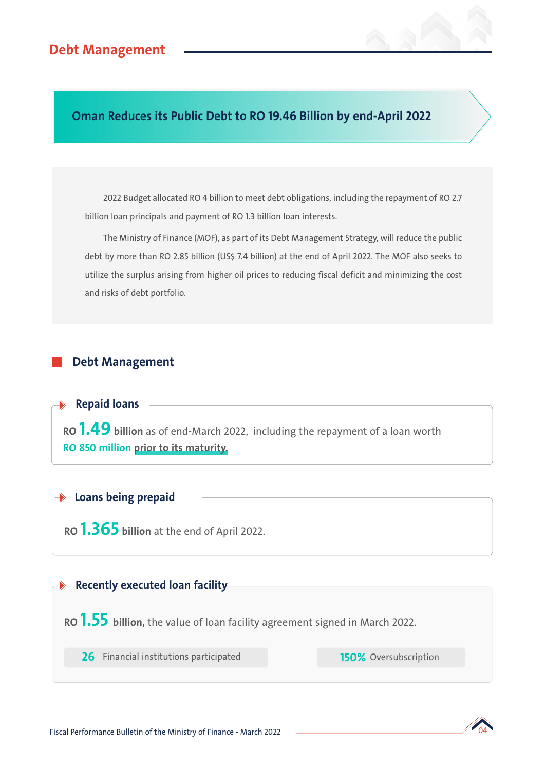**Oman Reduces its Public Debt to RO 19.46 Billion by end-April 2022**

2022 Budget allocated RO 4 billion to meet debt obligations, including the repayment of RO 2.7 billion loan principals and payment of RO 1.3 billion loan interests.

The Ministry of Finance (MOF), as part of its Debt Management Strategy, will reduce the public debt by more than RO 2.85 billion (US\$ 7.4 billion) at the end of April 2022. The MOF also seeks to utilize the surplus arising from higher oil prices to reducing fiscal deficit and minimizing the cost and risks of debt portfolio.

## **Debt Management**

**Repaid loans**

**RO 1.49 billion** as of end-March 2022, including the repayment of a loan worth **RO 850 million prior to its maturity.** 

## **Loans being prepaid**

**RO 1.365 billion** at the end of April 2022.

#### **Recently executed loan facility**

**RO 1.55 billion,** the value of loan facility agreement signed in March 2022.

**26** Financial institutions participated

**150%** Oversubscription

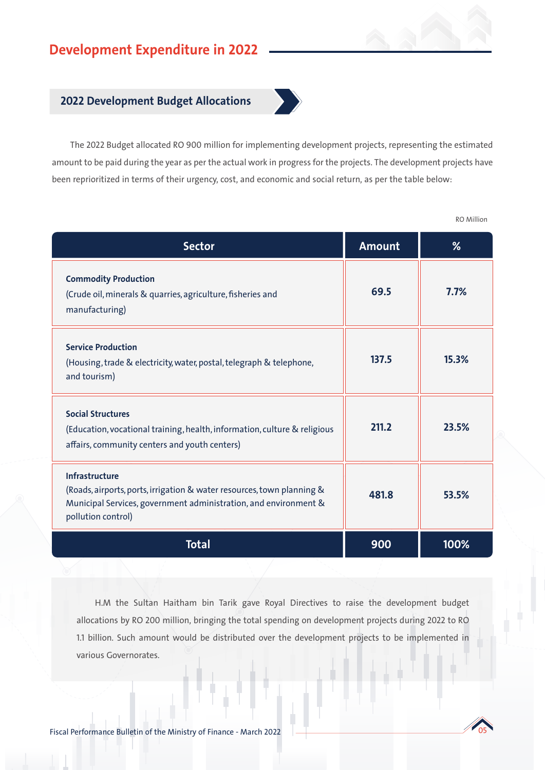# **Development Expenditure in 2022**

#### **2022 Development Budget Allocations**



The 2022 Budget allocated RO 900 million for implementing development projects, representing the estimated amount to be paid during the year as per the actual work in progress for the projects. The development projects have been reprioritized in terms of their urgency, cost, and economic and social return, as per the table below:

**% 7.7% Amount 69.5 Commodity Production** (Crude oil, minerals & quarries, agriculture, fisheries and manufacturing) **137.5 15.3% Service Production** (Housing, trade & electricity, water, postal, telegraph & telephone, and tourism) **211.2 23.5% Social Structures** (Education, vocational training, health, information, culture & religious affairs, community centers and youth centers) **481.8 53.5% Infrastructure** (Roads, airports, ports, irrigation & water resources, town planning & Municipal Services, government administration, and environment & pollution control) **Total 900 100% Sector** 

H.M the Sultan Haitham bin Tarik gave Royal Directives to raise the development budget allocations by RO 200 million, bringing the total spending on development projects during 2022 to RO 1.1 billion. Such amount would be distributed over the development projects to be implemented in various Governorates.